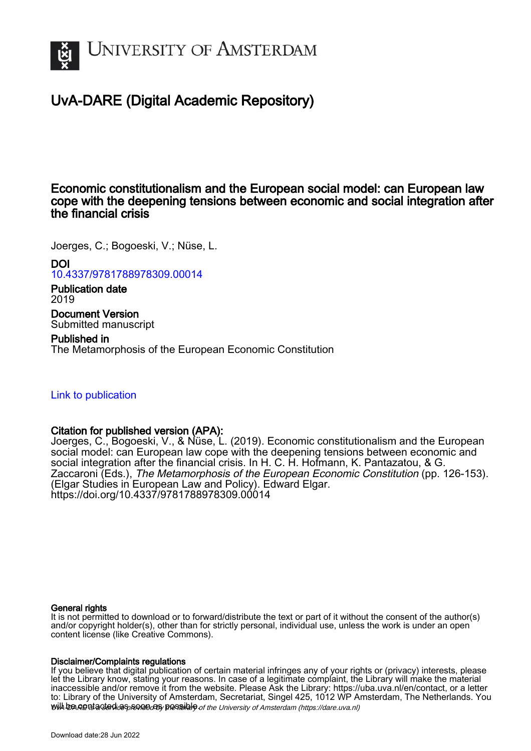

# UvA-DARE (Digital Academic Repository)

# Economic constitutionalism and the European social model: can European law cope with the deepening tensions between economic and social integration after the financial crisis

Joerges, C.; Bogoeski, V.; Nüse, L.

DOI [10.4337/9781788978309.00014](https://doi.org/10.4337/9781788978309.00014)

Publication date 2019 Document Version Submitted manuscript

Published in The Metamorphosis of the European Economic Constitution

# [Link to publication](https://dare.uva.nl/personal/pure/en/publications/economic-constitutionalism-and-the-european-social-model-can-european-law-cope-with-the-deepening-tensions-between-economic-and-social-integration-after-the-financial-crisis(f089d6e6-ca99-451f-8bae-e7207a0cebfd).html)

# Citation for published version (APA):

Joerges, C., Bogoeski, V., & Nüse, L. (2019). Economic constitutionalism and the European social model: can European law cope with the deepening tensions between economic and social integration after the financial crisis. In H. C. H. Hofmann, K. Pantazatou, & G. Zaccaroni (Eds.), The Metamorphosis of the European Economic Constitution (pp. 126-153). (Elgar Studies in European Law and Policy). Edward Elgar. <https://doi.org/10.4337/9781788978309.00014>

#### General rights

It is not permitted to download or to forward/distribute the text or part of it without the consent of the author(s) and/or copyright holder(s), other than for strictly personal, individual use, unless the work is under an open content license (like Creative Commons).

#### Disclaimer/Complaints regulations

will be contacted as sontacty pessible of the University of Amsterdam (https://dare.uva.nl) If you believe that digital publication of certain material infringes any of your rights or (privacy) interests, please let the Library know, stating your reasons. In case of a legitimate complaint, the Library will make the material inaccessible and/or remove it from the website. Please Ask the Library: https://uba.uva.nl/en/contact, or a letter to: Library of the University of Amsterdam, Secretariat, Singel 425, 1012 WP Amsterdam, The Netherlands. You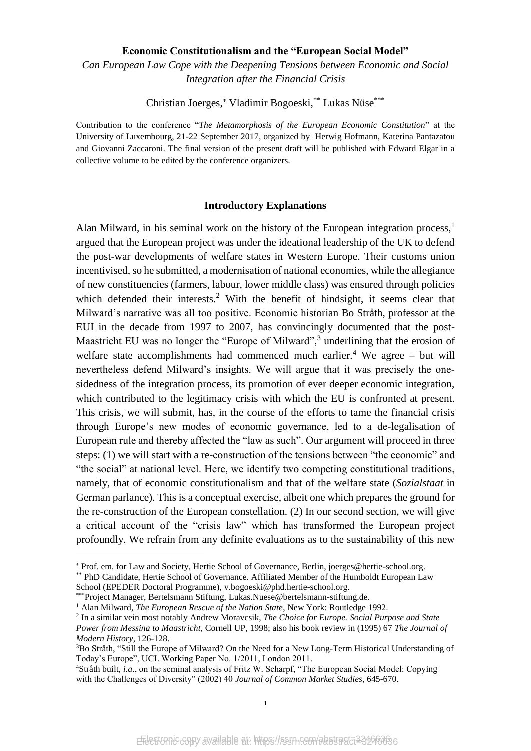#### **Economic Constitutionalism and the "European Social Model"**

*Can European Law Cope with the Deepening Tensions between Economic and Social Integration after the Financial Crisis*

Christian Joerges,\* Vladimir Bogoeski,\*\* Lukas Nüse\*\*\*

Contribution to the conference "*The Metamorphosis of the European Economic Constitution*" at the University of Luxembourg, 21-22 September 2017, organized by Herwig Hofmann, Katerina Pantazatou and Giovanni Zaccaroni. The final version of the present draft will be published with Edward Elgar in a collective volume to be edited by the conference organizers.

#### <span id="page-1-1"></span><span id="page-1-0"></span>**Introductory Explanations**

Alan Milward, in his seminal work on the history of the European integration process, $<sup>1</sup>$ </sup> argued that the European project was under the ideational leadership of the UK to defend the post-war developments of welfare states in Western Europe. Their customs union incentivised, so he submitted, a modernisation of national economies, while the allegiance of new constituencies (farmers, labour, lower middle class) was ensured through policies which defended their interests.<sup>2</sup> With the benefit of hindsight, it seems clear that Milward's narrative was all too positive. Economic historian Bo Stråth, professor at the EUI in the decade from 1997 to 2007, has convincingly documented that the post-Maastricht EU was no longer the "Europe of Milward", $3$  underlining that the erosion of welfare state accomplishments had commenced much earlier.<sup>4</sup> We agree – but will nevertheless defend Milward's insights. We will argue that it was precisely the onesidedness of the integration process, its promotion of ever deeper economic integration, which contributed to the legitimacy crisis with which the EU is confronted at present. This crisis, we will submit, has, in the course of the efforts to tame the financial crisis through Europe's new modes of economic governance, led to a de-legalisation of European rule and thereby affected the "law as such". Our argument will proceed in three steps: (1) we will start with a re-construction of the tensions between "the economic" and "the social" at national level. Here, we identify two competing constitutional traditions, namely, that of economic constitutionalism and that of the welfare state (*Sozialstaat* in German parlance). This is a conceptual exercise, albeit one which prepares the ground for the re-construction of the European constellation. (2) In our second section, we will give a critical account of the "crisis law" which has transformed the European project profoundly. We refrain from any definite evaluations as to the sustainability of this new

 $\overline{a}$ 

Prof. em. for Law and Society, Hertie School of Governance, Berlin, joerges@hertie-school.org.

<sup>\*\*</sup> PhD Candidate, Hertie School of Governance. Affiliated Member of the Humboldt European Law School (EPEDER Doctoral Programme), [v.bogoeski@phd.hertie-school.org.](mailto:v.bogoeski@phd.hertie-school.org)

<sup>\*\*\*</sup>Project Manager, Bertelsmann Stiftung, Lukas.Nuese@bertelsmann-stiftung.de.

<sup>&</sup>lt;sup>1</sup> Alan Milward, *The European Rescue of the Nation State*, New York: Routledge 1992.

<sup>2</sup> In a similar vein most notably Andrew Moravcsik, *The Choice for Europe. Social Purpose and State Power from Messina to Maastricht*, Cornell UP, 1998; also his book review in (1995) 67 *The Journal of Modern History*, 126-128.

<sup>3</sup>Bo Stråth, "Still the Europe of Milward? On the Need for a New Long-Term Historical Understanding of Today's Europe", UCL Working Paper No. 1/2011, London 2011.

<sup>4</sup>Stråth built, *i.a*., on the seminal analysis of Fritz W. Scharpf, "The European Social Model: Copying with the Challenges of Diversity" (2002) 40 *Journal of Common Market Studies,* 645-670.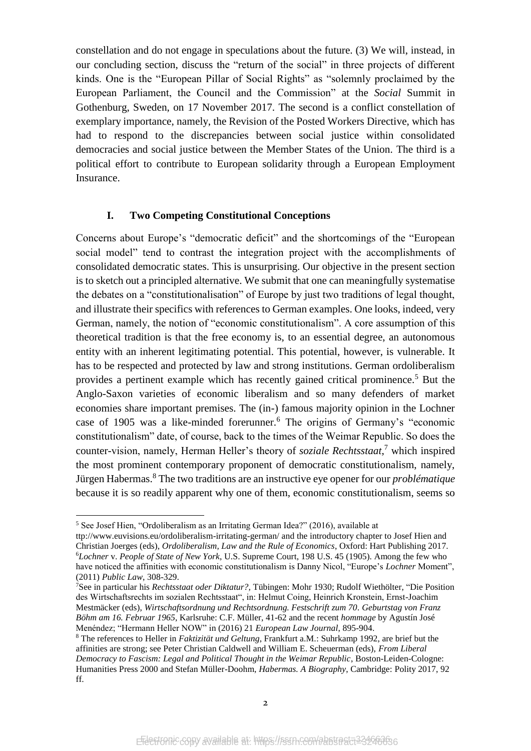constellation and do not engage in speculations about the future. (3) We will, instead, in our concluding section, discuss the "return of the social" in three projects of different kinds. One is the "European Pillar of Social Rights" as "solemnly proclaimed by the European Parliament, the Council and the Commission" at the *Social* Summit in Gothenburg, Sweden, on 17 November 2017. The second is a conflict constellation of exemplary importance, namely, the Revision of the Posted Workers Directive, which has had to respond to the discrepancies between social justice within consolidated democracies and social justice between the Member States of the Union. The third is a political effort to contribute to European solidarity through a European Employment Insurance.

## <span id="page-2-0"></span>**I. Two Competing Constitutional Conceptions**

Concerns about Europe's "democratic deficit" and the shortcomings of the "European social model" tend to contrast the integration project with the accomplishments of consolidated democratic states. This is unsurprising. Our objective in the present section is to sketch out a principled alternative. We submit that one can meaningfully systematise the debates on a "constitutionalisation" of Europe by just two traditions of legal thought, and illustrate their specifics with references to German examples. One looks, indeed, very German, namely, the notion of "economic constitutionalism". A core assumption of this theoretical tradition is that the free economy is, to an essential degree, an autonomous entity with an inherent legitimating potential. This potential, however, is vulnerable. It has to be respected and protected by law and strong institutions. German ordoliberalism provides a pertinent example which has recently gained critical prominence. <sup>5</sup> But the Anglo-Saxon varieties of economic liberalism and so many defenders of market economies share important premises. The (in-) famous majority opinion in the Lochner case of 1905 was a like-minded forerunner.<sup>6</sup> The origins of Germany's "economic constitutionalism" date, of course, back to the times of the Weimar Republic. So does the counter-vision, namely, Herman Heller's theory of *soziale Rechtsstaat*, <sup>7</sup> which inspired the most prominent contemporary proponent of democratic constitutionalism, namely, Jürgen Habermas.<sup>8</sup> The two traditions are an instructive eye opener for our *problématique*  because it is so readily apparent why one of them, economic constitutionalism, seems so

<sup>5</sup> See Josef Hien, "Ordoliberalism as an Irritating German Idea?" (2016), available at

ttp://www.euvisions.eu/ordoliberalism-irritating-german/ and the introductory chapter to Josef Hien and Christian Joerges (eds), *Ordoliberalism, Law and the Rule of Economics*, Oxford: Hart Publishing 2017. <sup>6</sup>*Lochner* v. *People of State of New York*, U.S. Supreme Court, 198 U.S. 45 (1905). Among the few who have noticed the affinities with economic constitutionalism is Danny Nicol, "Europe's *Lochner* Moment", (2011) *Public Law*, 308-329.

<sup>7</sup>See in particular his *Rechtsstaat oder Diktatur?,* Tübingen: Mohr 1930; Rudolf Wiethölter, "Die Position des Wirtschaftsrechts im sozialen Rechtsstaat", in: Helmut Coing, Heinrich Kronstein, Ernst-Joachim Mestmäcker (eds), *Wirtschaftsordnung und Rechtsordnung. Festschrift zum 70. Geburtstag von Franz Böhm am 16. Februar 1965*, Karlsruhe: C.F. Müller, 41-62 and the recent *hommage* by Agustín José Menéndez; "Hermann Heller NOW" in (2016) 21 *European Law Journal*, 895-904.

<sup>8</sup> The references to Heller in *Faktizität und Geltung*, Frankfurt a.M.: Suhrkamp 1992, are brief but the affinities are strong; see Peter Christian Caldwell and William E. Scheuerman (eds), *From Liberal Democracy to Fascism: Legal and Political Thought in the Weimar Republic*, Boston-Leiden-Cologne: Humanities Press 2000 and Stefan Müller-Doohm, *Habermas. A Biography*, Cambridge: Polity 2017, 92 ff.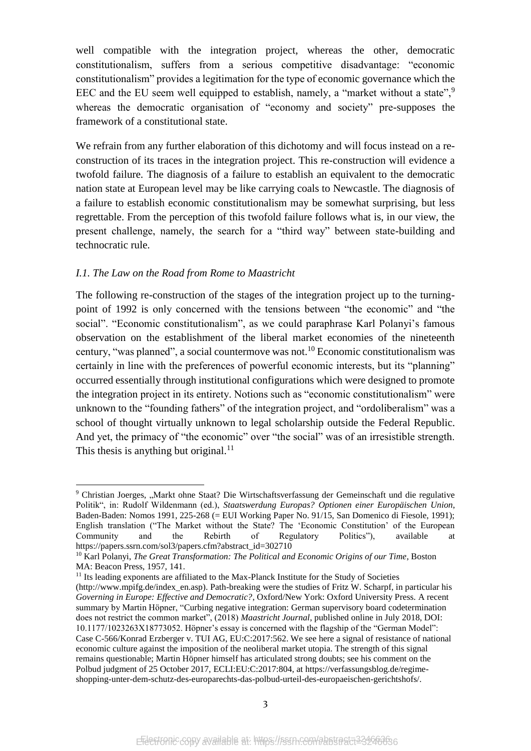well compatible with the integration project, whereas the other, democratic constitutionalism, suffers from a serious competitive disadvantage: "economic constitutionalism" provides a legitimation for the type of economic governance which the EEC and the EU seem well equipped to establish, namely, a "market without a state", $\frac{9}{2}$ whereas the democratic organisation of "economy and society" pre-supposes the framework of a constitutional state.

We refrain from any further elaboration of this dichotomy and will focus instead on a reconstruction of its traces in the integration project. This re-construction will evidence a twofold failure. The diagnosis of a failure to establish an equivalent to the democratic nation state at European level may be like carrying coals to Newcastle. The diagnosis of a failure to establish economic constitutionalism may be somewhat surprising, but less regrettable. From the perception of this twofold failure follows what is, in our view, the present challenge, namely, the search for a "third way" between state-building and technocratic rule.

## *I.1. The Law on the Road from Rome to Maastricht*

**.** 

The following re-construction of the stages of the integration project up to the turningpoint of 1992 is only concerned with the tensions between "the economic" and "the social". "Economic constitutionalism", as we could paraphrase Karl Polanyi's famous observation on the establishment of the liberal market economies of the nineteenth century, "was planned", a social countermove was not.<sup>10</sup> Economic constitutionalism was certainly in line with the preferences of powerful economic interests, but its "planning" occurred essentially through institutional configurations which were designed to promote the integration project in its entirety. Notions such as "economic constitutionalism" were unknown to the "founding fathers" of the integration project, and "ordoliberalism" was a school of thought virtually unknown to legal scholarship outside the Federal Republic. And yet, the primacy of "the economic" over "the social" was of an irresistible strength. This thesis is anything but original.<sup>11</sup>

<sup>&</sup>lt;sup>9</sup> Christian Joerges, "Markt ohne Staat? Die Wirtschaftsverfassung der Gemeinschaft und die regulative Politik", in: Rudolf Wildenmann (ed.), *Staatswerdung Europas? Optionen einer Europäischen Union*, Baden-Baden: Nomos 1991, 225-268 (= EUI Working Paper No. 91/15, San Domenico di Fiesole, 1991); English translation ("The Market without the State? The 'Economic Constitution' of the European Community and the Rebirth of Regulatory Politics"), available at https://papers.ssrn.com/sol3/papers.cfm?abstract\_id=302710

<sup>10</sup> Karl Polanyi, *The Great Transformation: The Political and Economic Origins of our Time*, Boston MA: Beacon Press, 1957, 141.

<sup>&</sup>lt;sup>11</sup> Its leading exponents are affiliated to the Max-Planck Institute for the Study of Societies (http://www.mpifg.de/index\_en.asp). Path-breaking were the studies of Fritz W. Scharpf, in particular his *Governing in Europe: Effective and Democratic?*, Oxford/New York: Oxford University Press*.* A recent summary by Martin Höpner, "Curbing negative integration: German supervisory board codetermination does not restrict the common market", (2018) *Maastricht Journal*, published online in July 2018, DOI: 10.1177/1023263X18773052. Höpner's essay is concerned with the flagship of the "German Model": Case C-566/Konrad Erzberger v. TUI AG, EU:C:2017:562. We see here a signal of resistance of national economic culture against the imposition of the neoliberal market utopia. The strength of this signal remains questionable; Martin Höpner himself has articulated strong doubts; see his comment on the Polbud judgment of 25 October 2017, ECLI:EU:C:2017:804, at https://verfassungsblog.de/regimeshopping-unter-dem-schutz-des-europarechts-das-polbud-urteil-des-europaeischen-gerichtshofs/.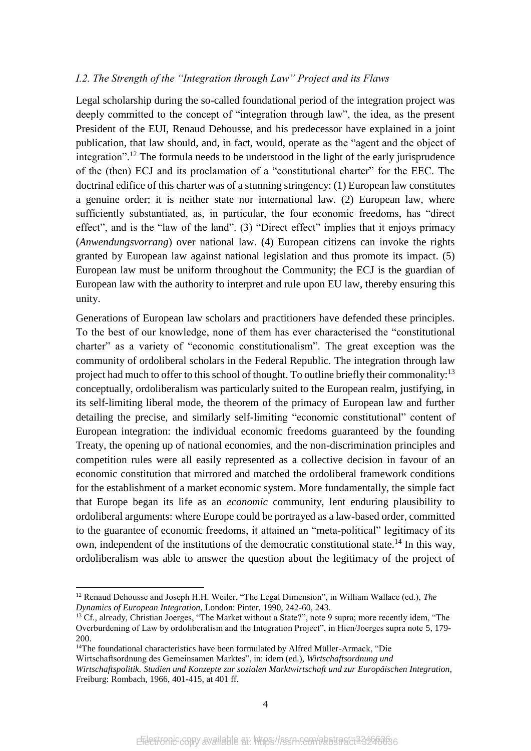#### *I.2. The Strength of the "Integration through Law" Project and its Flaws*

Legal scholarship during the so-called foundational period of the integration project was deeply committed to the concept of "integration through law", the idea, as the present President of the EUI, Renaud Dehousse, and his predecessor have explained in a joint publication, that law should, and, in fact, would, operate as the "agent and the object of integration".<sup>12</sup> The formula needs to be understood in the light of the early jurisprudence of the (then) ECJ and its proclamation of a "constitutional charter" for the EEC. The doctrinal edifice of this charter was of a stunning stringency: (1) European law constitutes a genuine order; it is neither state nor international law. (2) European law, where sufficiently substantiated, as, in particular, the four economic freedoms, has "direct effect", and is the "law of the land". (3) "Direct effect" implies that it enjoys primacy (*Anwendungsvorrang*) over national law. (4) European citizens can invoke the rights granted by European law against national legislation and thus promote its impact. (5) European law must be uniform throughout the Community; the ECJ is the guardian of European law with the authority to interpret and rule upon EU law, thereby ensuring this unity.

Generations of European law scholars and practitioners have defended these principles. To the best of our knowledge, none of them has ever characterised the "constitutional charter" as a variety of "economic constitutionalism". The great exception was the community of ordoliberal scholars in the Federal Republic. The integration through law project had much to offer to this school of thought. To outline briefly their commonality:<sup>13</sup> conceptually, ordoliberalism was particularly suited to the European realm, justifying, in its self-limiting liberal mode, the theorem of the primacy of European law and further detailing the precise, and similarly self-limiting "economic constitutional" content of European integration: the individual economic freedoms guaranteed by the founding Treaty, the opening up of national economies, and the non-discrimination principles and competition rules were all easily represented as a collective decision in favour of an economic constitution that mirrored and matched the ordoliberal framework conditions for the establishment of a market economic system. More fundamentally, the simple fact that Europe began its life as an *economic* community, lent enduring plausibility to ordoliberal arguments: where Europe could be portrayed as a law-based order, committed to the guarantee of economic freedoms, it attained an "meta-political" legitimacy of its own, independent of the institutions of the democratic constitutional state.<sup>14</sup> In this way, ordoliberalism was able to answer the question about the legitimacy of the project of

<sup>14</sup>The foundational characteristics have been formulated by Alfred Müller-Armack, "Die

**.** 

Wirtschaftsordnung des Gemeinsamen Marktes", in: idem (ed.), *Wirtschaftsordnung und* 

<sup>12</sup> Renaud Dehousse and Joseph H.H. Weiler, "The Legal Dimension", in William Wallace (ed.), *The Dynamics of European Integration*, London: Pinter, 1990, 242-60, 243.

<sup>&</sup>lt;sup>13</sup> Cf., already, Christian Joerges, "The Market without a State?", note 9 supra; more recently idem, "The Overburdening of Law by ordoliberalism and the Integration Project", in Hien/Joerges supra note [5,](#page-2-0) 179- 200.

*Wirtschaftspolitik. Studien und Konzepte zur sozialen Marktwirtschaft und zur Europäischen Integration*, Freiburg: Rombach, 1966, 401-415, at 401 ff.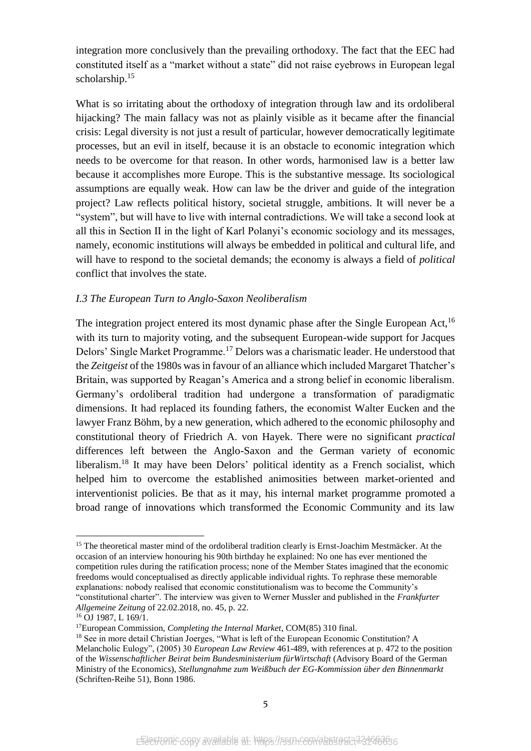integration more conclusively than the prevailing orthodoxy. The fact that the EEC had constituted itself as a "market without a state" did not raise eyebrows in European legal scholarship.<sup>15</sup>

What is so irritating about the orthodoxy of integration through law and its ordoliberal hijacking? The main fallacy was not as plainly visible as it became after the financial crisis: Legal diversity is not just a result of particular, however democratically legitimate processes, but an evil in itself, because it is an obstacle to economic integration which needs to be overcome for that reason. In other words, harmonised law is a better law because it accomplishes more Europe. This is the substantive message. Its sociological assumptions are equally weak. How can law be the driver and guide of the integration project? Law reflects political history, societal struggle, ambitions. It will never be a "system", but will have to live with internal contradictions. We will take a second look at all this in Section II in the light of Karl Polanyi's economic sociology and its messages, namely, economic institutions will always be embedded in political and cultural life, and will have to respond to the societal demands; the economy is always a field of *political*  conflict that involves the state.

#### *I.3 The European Turn to Anglo-Saxon Neoliberalism*

The integration project entered its most dynamic phase after the Single European Act,<sup>16</sup> with its turn to majority voting, and the subsequent European-wide support for Jacques Delors' Single Market Programme.<sup>17</sup> Delors was a charismatic leader. He understood that the *Zeitgeist* of the 1980s was in favour of an alliance which included Margaret Thatcher's Britain, was supported by Reagan's America and a strong belief in economic liberalism. Germany's ordoliberal tradition had undergone a transformation of paradigmatic dimensions. It had replaced its founding fathers, the economist Walter Eucken and the lawyer Franz Böhm, by a new generation, which adhered to the economic philosophy and constitutional theory of Friedrich A. von Hayek. There were no significant *practical* differences left between the Anglo-Saxon and the German variety of economic liberalism.<sup>18</sup> It may have been Delors' political identity as a French socialist, which helped him to overcome the established animosities between market-oriented and interventionist policies. Be that as it may, his internal market programme promoted a broad range of innovations which transformed the Economic Community and its law

<sup>&</sup>lt;sup>15</sup> The theoretical master mind of the ordoliberal tradition clearly is Ernst-Joachim Mestmäcker. At the occasion of an interview honouring his 90th birthday he explained: No one has ever mentioned the competition rules during the ratification process; none of the Member States imagined that the economic freedoms would conceptualised as directly applicable individual rights. To rephrase these memorable explanations: nobody realised that economic constitutionalism was to become the Community's "constitutional charter". The interview was given to Werner Mussler and published in the *Frankfurter Allgemeine Zeitung* of 22.02.2018, no. 45, p. 22.

<sup>16</sup> OJ 1987, L 169/1.

<sup>17</sup>European Commission, *Completing the Internal Market*, COM(85) 310 final.

<sup>&</sup>lt;sup>18</sup> See in more detail Christian Joerges, "What is left of the European Economic Constitution? A Melancholic Eulogy", (2005) 30 *European Law Review* 461-489, with references at p. 472 to the position of the *Wissenschaftlicher Beirat beim Bundesministerium fürWirtschaft* (Advisory Board of the German Ministry of the Economics), *Stellungnahme zum Weißbuch der EG-Kommission über den Binnenmarkt* (Schriften-Reihe 51), Bonn 1986.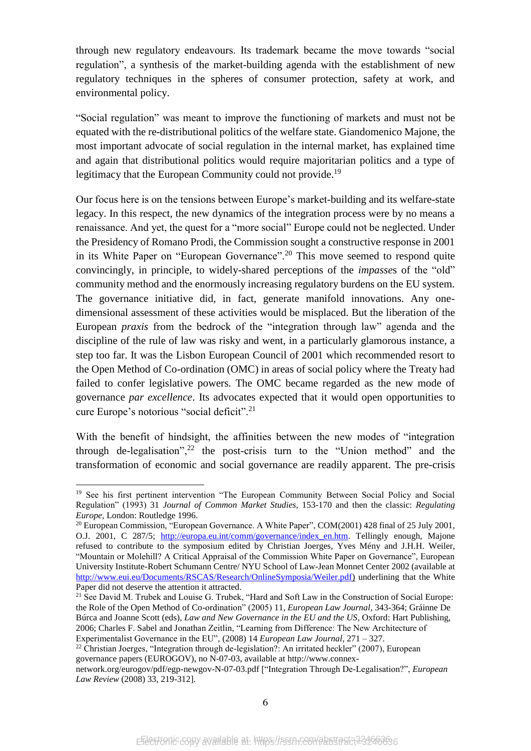through new regulatory endeavours. Its trademark became the move towards "social regulation", a synthesis of the market-building agenda with the establishment of new regulatory techniques in the spheres of consumer protection, safety at work, and environmental policy.

"Social regulation" was meant to improve the functioning of markets and must not be equated with the re-distributional politics of the welfare state. Giandomenico Majone, the most important advocate of social regulation in the internal market, has explained time and again that distributional politics would require majoritarian politics and a type of legitimacy that the European Community could not provide.<sup>19</sup>

Our focus here is on the tensions between Europe's market-building and its welfare-state legacy. In this respect, the new dynamics of the integration process were by no means a renaissance. And yet, the quest for a "more social" Europe could not be neglected. Under the Presidency of Romano Prodi, the Commission sought a constructive response in 2001 in its White Paper on "European Governance".<sup>20</sup> This move seemed to respond quite convincingly, in principle, to widely-shared perceptions of the *impasse*s of the "old" community method and the enormously increasing regulatory burdens on the EU system. The governance initiative did, in fact, generate manifold innovations. Any onedimensional assessment of these activities would be misplaced. But the liberation of the European *praxis* from the bedrock of the "integration through law" agenda and the discipline of the rule of law was risky and went, in a particularly glamorous instance, a step too far. It was the Lisbon European Council of 2001 which recommended resort to the Open Method of Co-ordination (OMC) in areas of social policy where the Treaty had failed to confer legislative powers. The OMC became regarded as the new mode of governance *par excellence*. Its advocates expected that it would open opportunities to cure Europe's notorious "social deficit".<sup>21</sup>

With the benefit of hindsight, the affinities between the new modes of "integration through de-legalisation",<sup>22</sup> the post-crisis turn to the "Union method" and the transformation of economic and social governance are readily apparent. The pre-crisis

**.** 

 $22$  Christian Joerges, "Integration through de-legislation?: An irritated heckler" (2007), European governance papers (EUROGOV), no N-07-03, available at [http://www.connex-](http://www.connex-network.org/eurogov/pdf/egp-newgov-N-07-03.pdf)

<sup>&</sup>lt;sup>19</sup> See his first pertinent intervention "The European Community Between Social Policy and Social Regulation" (1993) 31 *Journal of Common Market Studies*, 153-170 and then the classic: *Regulating Europe*, London: Routledge 1996.

<sup>20</sup> European Commission*,* "European Governance. A White Paper", COM(2001) 428 final of 25 July 2001, O.J. 2001, C 287/5; [http://europa.eu.int/comm/governance/index\\_en.htm.](http://europa.eu.int/comm/governance/index_en.htm) Tellingly enough, Majone refused to contribute to the symposium edited by Christian Joerges, Yves Mény and J.H.H. Weiler, "Mountain or Molehill? A Critical Appraisal of the Commission White Paper on Governance", European University Institute-Robert Schumann Centre/ NYU School of Law-Jean Monnet Center 2002 (available at [http://www.eui.eu/Documents/RSCAS/Research/OnlineSymposia/Weiler.pdf\)](http://www.eui.eu/Documents/RSCAS/Research/OnlineSymposia/Weiler.pdf) underlining that the White Paper did not deserve the attention it attracted.

<sup>&</sup>lt;sup>21</sup> See David M. Trubek and Louise G. Trubek, "Hard and Soft Law in the Construction of Social Europe: the Role of the Open Method of Co-ordination" (2005) 11, *European Law Journal*, 343-364; Gráinne De Búrca and Joanne Scott (eds), *Law and New Governance in the EU and the US*, Oxford: Hart Publishing, 2006; Charles F. Sabel and Jonathan Zeitlin, "Learning from Difference: The New Architecture of Experimentalist Governance in the EU", (2008) 14 *European Law Journal*, 271 – 327.

[network.org/eurogov/pdf/egp-newgov-N-07-03.pdf](http://www.connex-network.org/eurogov/pdf/egp-newgov-N-07-03.pdf) ["Integration Through De-Legalisation?", *European Law Review* (2008) 33, 219-312].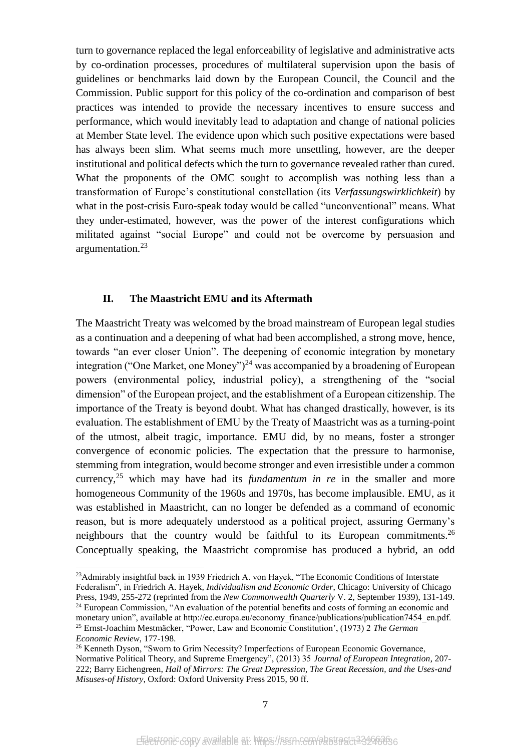turn to governance replaced the legal enforceability of legislative and administrative acts by co-ordination processes, procedures of multilateral supervision upon the basis of guidelines or benchmarks laid down by the European Council, the Council and the Commission. Public support for this policy of the co-ordination and comparison of best practices was intended to provide the necessary incentives to ensure success and performance, which would inevitably lead to adaptation and change of national policies at Member State level. The evidence upon which such positive expectations were based has always been slim. What seems much more unsettling, however, are the deeper institutional and political defects which the turn to governance revealed rather than cured. What the proponents of the OMC sought to accomplish was nothing less than a transformation of Europe's constitutional constellation (its *Verfassungswirklichkeit*) by what in the post-crisis Euro-speak today would be called "unconventional" means. What they under-estimated, however, was the power of the interest configurations which militated against "social Europe" and could not be overcome by persuasion and argumentation.<sup>23</sup>

#### **II. The Maastricht EMU and its Aftermath**

1

The Maastricht Treaty was welcomed by the broad mainstream of European legal studies as a continuation and a deepening of what had been accomplished, a strong move, hence, towards "an ever closer Union". The deepening of economic integration by monetary integration ("One Market, one Money")<sup>24</sup> was accompanied by a broadening of European powers (environmental policy, industrial policy), a strengthening of the "social dimension" of the European project, and the establishment of a European citizenship. The importance of the Treaty is beyond doubt. What has changed drastically, however, is its evaluation. The establishment of EMU by the Treaty of Maastricht was as a turning-point of the utmost, albeit tragic, importance. EMU did, by no means, foster a stronger convergence of economic policies. The expectation that the pressure to harmonise, stemming from integration, would become stronger and even irresistible under a common currency,<sup>25</sup> which may have had its *fundamentum in re* in the smaller and more homogeneous Community of the 1960s and 1970s, has become implausible. EMU, as it was established in Maastricht, can no longer be defended as a command of economic reason, but is more adequately understood as a political project, assuring Germany's neighbours that the country would be faithful to its European commitments.<sup>26</sup> Conceptually speaking, the Maastricht compromise has produced a hybrid, an odd

<sup>23</sup>Admirably insightful back in 1939 Friedrich A. von Hayek, "The Economic Conditions of Interstate Federalism", in Friedrich A. Hayek, *Individualism and Economic Order*, Chicago: University of Chicago

Press, 1949, 255-272 (reprinted from the *New Commonwealth Quarterly* V. 2, September 1939), 131-149. <sup>24</sup> European Commission, "An evaluation of the potential benefits and costs of forming an economic and monetary union", available at http://ec.europa.eu/economy\_finance/publications/publication7454\_en.pdf. <sup>25</sup> Ernst-Joachim Mestmäcker, "Power, Law and Economic Constitution', (1973) 2 *The German Economic Review*, 177-198.

<sup>26</sup> Kenneth Dyson, "Sworn to Grim Necessity? Imperfections of European Economic Governance, Normative Political Theory, and Supreme Emergency", (2013) 35 *Journal of European Integration*, 207- 222; Barry Eichengreen, *Hall of Mirrors: The Great Depression, The Great Recession, and the Uses-and Misuses-of History*, Oxford: Oxford University Press 2015, 90 ff.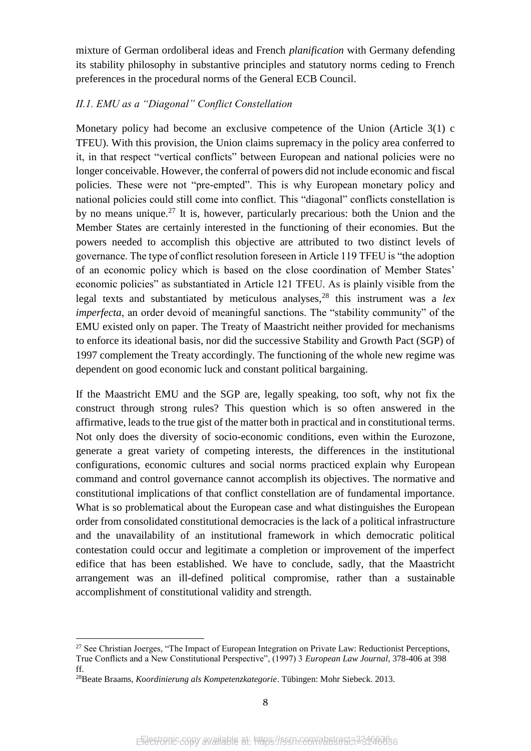mixture of German ordoliberal ideas and French *planification* with Germany defending its stability philosophy in substantive principles and statutory norms ceding to French preferences in the procedural norms of the General ECB Council.

# *II.1. EMU as a "Diagonal" Conflict Constellation*

Monetary policy had become an exclusive competence of the Union (Article 3(1) c TFEU). With this provision, the Union claims supremacy in the policy area conferred to it, in that respect "vertical conflicts" between European and national policies were no longer conceivable. However, the conferral of powers did not include economic and fiscal policies. These were not "pre-empted". This is why European monetary policy and national policies could still come into conflict. This "diagonal" conflicts constellation is by no means unique.<sup>27</sup> It is, however, particularly precarious: both the Union and the Member States are certainly interested in the functioning of their economies. But the powers needed to accomplish this objective are attributed to two distinct levels of governance. The type of conflict resolution foreseen in Article 119 TFEU is "the adoption of an economic policy which is based on the close coordination of Member States' economic policies" as substantiated in Article 121 TFEU. As is plainly visible from the legal texts and substantiated by meticulous analyses,<sup>28</sup> this instrument was a *lex imperfecta*, an order devoid of meaningful sanctions. The "stability community" of the EMU existed only on paper. The Treaty of Maastricht neither provided for mechanisms to enforce its ideational basis, nor did the successive Stability and Growth Pact (SGP) of 1997 complement the Treaty accordingly. The functioning of the whole new regime was dependent on good economic luck and constant political bargaining.

If the Maastricht EMU and the SGP are, legally speaking, too soft, why not fix the construct through strong rules? This question which is so often answered in the affirmative, leads to the true gist of the matter both in practical and in constitutional terms. Not only does the diversity of socio-economic conditions, even within the Eurozone, generate a great variety of competing interests, the differences in the institutional configurations, economic cultures and social norms practiced explain why European command and control governance cannot accomplish its objectives. The normative and constitutional implications of that conflict constellation are of fundamental importance. What is so problematical about the European case and what distinguishes the European order from consolidated constitutional democracies is the lack of a political infrastructure and the unavailability of an institutional framework in which democratic political contestation could occur and legitimate a completion or improvement of the imperfect edifice that has been established. We have to conclude, sadly, that the Maastricht arrangement was an ill-defined political compromise, rather than a sustainable accomplishment of constitutional validity and strength.

<sup>27</sup> See Christian Joerges, "The Impact of European Integration on Private Law: Reductionist Perceptions, True Conflicts and a New Constitutional Perspective", (1997) 3 *European Law Journal*, 378-406 at 398 ff.

<sup>28</sup>Beate Braams, *Koordinierung als Kompetenzkategorie*. Tübingen: Mohr Siebeck. 2013.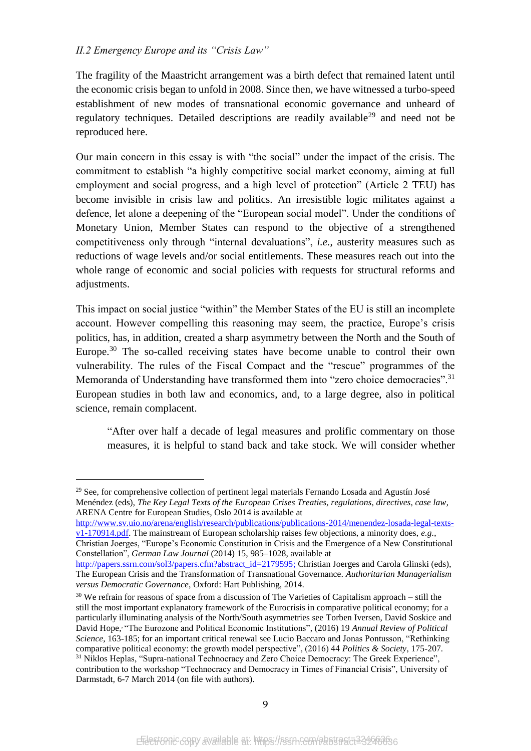## *II.2 Emergency Europe and its "Crisis Law"*

**.** 

The fragility of the Maastricht arrangement was a birth defect that remained latent until the economic crisis began to unfold in 2008. Since then, we have witnessed a turbo-speed establishment of new modes of transnational economic governance and unheard of regulatory techniques. Detailed descriptions are readily available<sup>29</sup> and need not be reproduced here.

Our main concern in this essay is with "the social" under the impact of the crisis. The commitment to establish "a highly competitive social market economy, aiming at full employment and social progress, and a high level of protection" (Article 2 TEU) has become invisible in crisis law and politics. An irresistible logic militates against a defence, let alone a deepening of the "European social model". Under the conditions of Monetary Union, Member States can respond to the objective of a strengthened competitiveness only through "internal devaluations", *i.e.*, austerity measures such as reductions of wage levels and/or social entitlements. These measures reach out into the whole range of economic and social policies with requests for structural reforms and adjustments.

This impact on social justice "within" the Member States of the EU is still an incomplete account. However compelling this reasoning may seem, the practice, Europe's crisis politics, has, in addition, created a sharp asymmetry between the North and the South of Europe.<sup>30</sup> The so-called receiving states have become unable to control their own vulnerability. The rules of the Fiscal Compact and the "rescue" programmes of the Memoranda of Understanding have transformed them into "zero choice democracies".<sup>31</sup> European studies in both law and economics, and, to a large degree, also in political science, remain complacent.

"After over half a decade of legal measures and prolific commentary on those measures, it is helpful to stand back and take stock. We will consider whether

[http://www.sv.uio.no/arena/english/research/publications/publications-2014/menendez-losada-legal-texts](http://www.sv.uio.no/arena/english/research/publications/publications-2014/menendez-losada-legal-texts-v1-170914.pdf)[v1-170914.pdf.](http://www.sv.uio.no/arena/english/research/publications/publications-2014/menendez-losada-legal-texts-v1-170914.pdf) The mainstream of European scholarship raises few objections, a minority does, *e.g.*,

<sup>&</sup>lt;sup>29</sup> See, for comprehensive collection of pertinent legal materials Fernando Losada and Agustín José Menéndez (eds), *The Key Legal Texts of the European Crises Treaties, regulations, directives, case law*, ARENA Centre for European Studies, Oslo 2014 is available at

Christian Joerges, "Europe's Economic Constitution in Crisis and the Emergence of a New Constitutional Constellation", *German Law Journal* (2014) 15, 985–1028, available at

[http://papers.ssrn.com/sol3/papers.cfm?abstract\\_id=2179595;](http://papers.ssrn.com/sol3/papers.cfm?abstract_id=2179595) Christian Joerges and Carola Glinski (eds), [The European Crisis and the Transformation of Transnational Governance](http://www.hartpub.co.uk/BookDetails.aspx?ISBN=9781849466325)*. Authoritarian Managerialism versus Democratic Governance*, Oxford: Hart Publishing, 2014.

<sup>&</sup>lt;sup>30</sup> We refrain for reasons of space from a discussion of The Varieties of Capitalism approach – still the still the most important explanatory framework of the Eurocrisis in comparative political economy; for a particularly illuminating analysis of the North/South asymmetries see Torben Iversen, David Soskice and David Hope, "The Eurozone and Political Economic Institutions", (2016) 19 *Annual Review of Political Science*, 163-185; for an important critical renewal see Lucio Baccaro and Jonas Pontusson, "Rethinking comparative political economy: the growth model perspective", (2016) 44 *Politics & Society*, 175-207. <sup>31</sup> Niklos Heplas, "Supra-national Technocracy and Zero Choice Democracy: The Greek Experience", contribution to the workshop "Technocracy and Democracy in Times of Financial Crisis", University of Darmstadt, 6-7 March 2014 (on file with authors).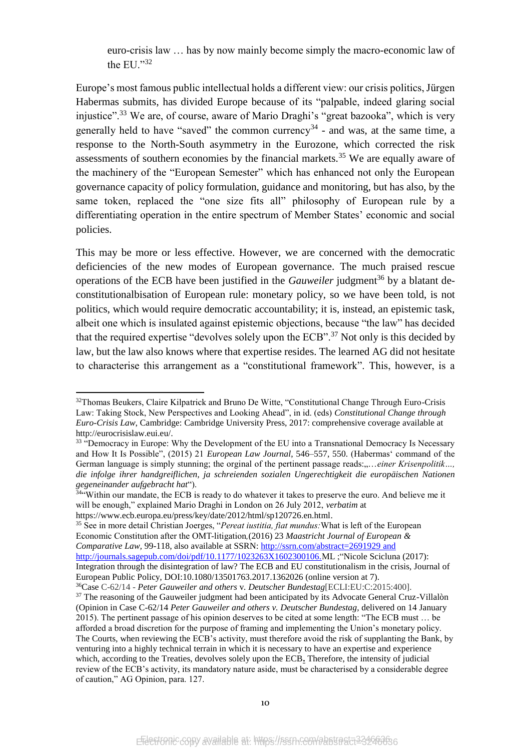euro-crisis law … has by now mainly become simply the macro-economic law of the EU."32

Europe's most famous public intellectual holds a different view: our crisis politics, Jürgen Habermas submits, has divided Europe because of its "palpable, indeed glaring social injustice".<sup>33</sup> We are, of course, aware of Mario Draghi's "great bazooka", which is very generally held to have "saved" the common currency<sup>34</sup> - and was, at the same time, a response to the North-South asymmetry in the Eurozone, which corrected the risk assessments of southern economies by the financial markets.<sup>35</sup> We are equally aware of the machinery of the "European Semester" which has enhanced not only the European governance capacity of policy formulation, guidance and monitoring, but has also, by the same token, replaced the "one size fits all" philosophy of European rule by a differentiating operation in the entire spectrum of Member States' economic and social policies.

This may be more or less effective. However, we are concerned with the democratic deficiencies of the new modes of European governance. The much praised rescue operations of the ECB have been justified in the *Gauweiler* judgment<sup>36</sup> by a blatant deconstitutionalbisation of European rule: monetary policy, so we have been told, is not politics, which would require democratic accountability; it is, instead, an epistemic task, albeit one which is insulated against epistemic objections, because "the law" has decided that the required expertise "devolves solely upon the ECB".<sup>37</sup> Not only is this decided by law, but the law also knows where that expertise resides. The learned AG did not hesitate to characterise this arrangement as a "constitutional framework". This, however, is a

**.** 

<sup>35</sup> See in more detail Christian Joerges, "*Pereat iustitia, fiat mundus:*What is left of the European Economic Constitution after the OMT-litigation*,*(2016) 23 *Maastricht Journal of European & Comparative Law,* 99-118, also available at SSRN[: http://ssrn.com/abstract=2691929](http://ssrn.com/abstract=2691929) and http://journals.sagepub.com/doi/pdf/10.1177/1023263X1602300106.ML ;"Nicole Scicluna (2017): Integration through the disintegration of law? The ECB and EU constitutionalism in the crisis, Journal of European Public Policy, DOI:10.1080/13501763.2017.1362026 (online version at 7).

<sup>&</sup>lt;sup>32</sup>Thomas Beukers, Claire Kilpatrick and Bruno De Witte, "Constitutional Change Through Euro-Crisis Law: Taking Stock, New Perspectives and Looking Ahead", in id. (eds) *Constitutional Change through Euro-Crisis Law*, Cambridge: Cambridge University Press, 2017: comprehensive coverage available at http://eurocrisislaw.eui.eu/.

<sup>&</sup>lt;sup>33</sup> "Democracy in Europe: Why the Development of the EU into a Transnational Democracy Is Necessary and How It Is Possible", (2015) 21 *European Law Journal*, 546–557, 550. (Habermas' command of the German language is simply stunning; the orginal of the pertinent passage reads:,...*.einer Krisenpolitik...*, *die infolge ihrer handgreiflichen, ja schreienden sozialen Ungerechtigkeit die europäischen Nationen gegeneinander aufgebracht hat*").

<sup>&</sup>lt;sup>34"</sup>Within our mandate, the ECB is ready to do whatever it takes to preserve the euro. And believe me it will be enough," explained Mario Draghi in London on 26 July 2012, *verbatim* at https://www.ecb.europa.eu/press/key/date/2012/html/sp120726.en.html.

<sup>36</sup>Case C-62/14 - *Peter Gauweiler and others* v*. Deutscher Bundestag*[ECLI:EU:C:2015:400].

<sup>&</sup>lt;sup>37</sup> The reasoning of the Gauweiler judgment had been anticipated by its Advocate General Cruz-Villalòn (Opinion in Case C-62/14 *Peter Gauweiler and others v. Deutscher Bundestag,* delivered on 14 January 2015). The pertinent passage of his opinion deserves to be cited at some length: "The ECB must … be afforded a broad discretion for the purpose of framing and implementing the Union's monetary policy. The Courts, when reviewing the ECB's activity, must therefore avoid the risk of supplanting the Bank, by venturing into a highly technical terrain in which it is necessary to have an expertise and experience which, according to the Treaties, devolves solely upon the ECB**.** Therefore, the intensity of judicial review of the ECB's activity, its mandatory nature aside, must be characterised by a considerable degree of caution," AG Opinion, para. 127.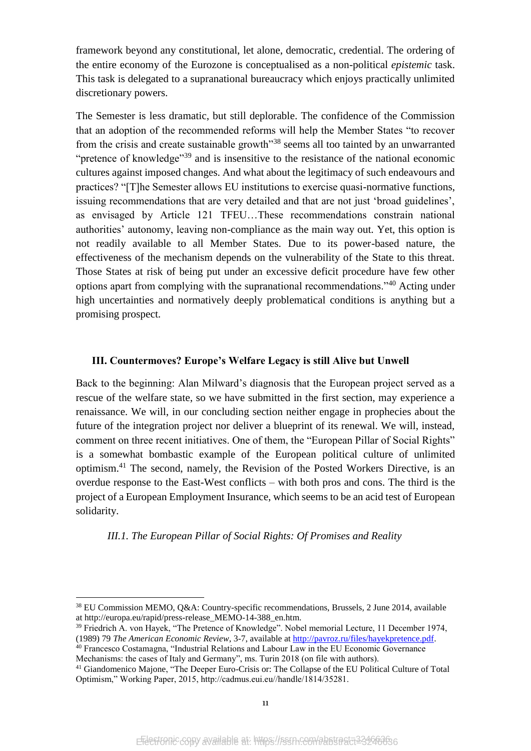framework beyond any constitutional, let alone, democratic, credential. The ordering of the entire economy of the Eurozone is conceptualised as a non-political *epistemic* task. This task is delegated to a supranational bureaucracy which enjoys practically unlimited discretionary powers.

The Semester is less dramatic, but still deplorable. The confidence of the Commission that an adoption of the recommended reforms will help the Member States "to recover from the crisis and create sustainable growth<sup>338</sup> seems all too tainted by an unwarranted "pretence of knowledge"<sup>39</sup> and is insensitive to the resistance of the national economic cultures against imposed changes. And what about the legitimacy of such endeavours and practices? "[T]he Semester allows EU institutions to exercise quasi-normative functions, issuing recommendations that are very detailed and that are not just 'broad guidelines', as envisaged by Article 121 TFEU…These recommendations constrain national authorities' autonomy, leaving non-compliance as the main way out. Yet, this option is not readily available to all Member States. Due to its power-based nature, the effectiveness of the mechanism depends on the vulnerability of the State to this threat. Those States at risk of being put under an excessive deficit procedure have few other options apart from complying with the supranational recommendations."<sup>40</sup> Acting under high uncertainties and normatively deeply problematical conditions is anything but a promising prospect.

#### **III. Countermoves? Europe's Welfare Legacy is still Alive but Unwell**

Back to the beginning: Alan Milward's diagnosis that the European project served as a rescue of the welfare state, so we have submitted in the first section, may experience a renaissance. We will, in our concluding section neither engage in prophecies about the future of the integration project nor deliver a blueprint of its renewal. We will, instead, comment on three recent initiatives. One of them, the "European Pillar of Social Rights" is a somewhat bombastic example of the European political culture of unlimited optimism.<sup>41</sup> The second, namely, the Revision of the Posted Workers Directive, is an overdue response to the East-West conflicts – with both pros and cons. The third is the project of a European Employment Insurance, which seems to be an acid test of European solidarity.

*III.1. The European Pillar of Social Rights: Of Promises and Reality*

1

<sup>38</sup> EU Commission MEMO, Q&A: Country-specific recommendations, Brussels, 2 June 2014, available at http://europa.eu/rapid/press-release\_MEMO-14-388\_en.htm.

<sup>39</sup> Friedrich A. von Hayek, "The Pretence of Knowledge". Nobel memorial Lecture, 11 December 1974, (1989) 79 *The American Economic Review*, 3-7, available a[t http://pavroz.ru/files/hayekpretence.pdf.](http://pavroz.ru/files/hayekpretence.pdf)

<sup>40</sup> Francesco Costamagna, "Industrial Relations and Labour Law in the EU Economic Governance Mechanisms: the cases of Italy and Germany", ms. Turin 2018 (on file with authors).

<sup>41</sup> Giandomenico Majone, "The Deeper Euro-Crisis or: The Collapse of the EU Political Culture of Total Optimism," Working Paper, 2015, http://cadmus.eui.eu//handle/1814/35281.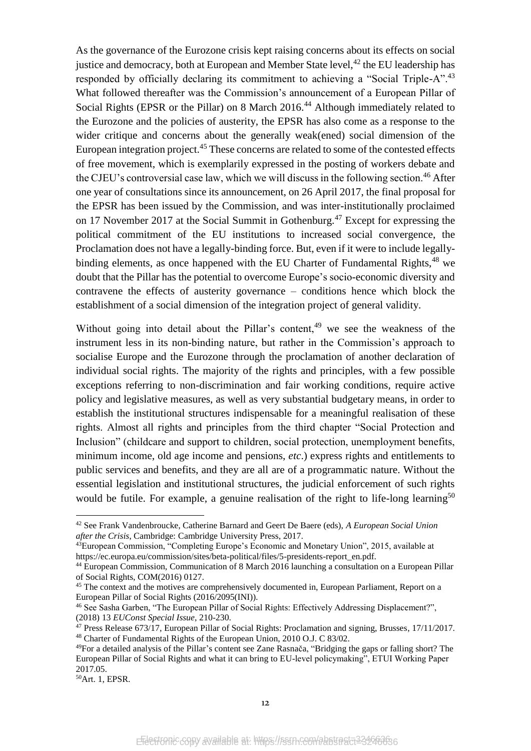<span id="page-12-0"></span>As the governance of the Eurozone crisis kept raising concerns about its effects on social justice and democracy, both at European and Member State level,  $42$  the EU leadership has responded by officially declaring its commitment to achieving a "Social Triple-A".<sup>43</sup> What followed thereafter was the Commission's announcement of a European Pillar of Social Rights (EPSR or the Pillar) on 8 March 2016.<sup>44</sup> Although immediately related to the Eurozone and the policies of austerity, the EPSR has also come as a response to the wider critique and concerns about the generally weak(ened) social dimension of the European integration project. $45$  These concerns are related to some of the contested effects of free movement, which is exemplarily expressed in the posting of workers debate and the CJEU's controversial case law, which we will discuss in the following section.<sup>46</sup> After one year of consultations since its announcement, on 26 April 2017, the final proposal for the EPSR has been issued by the Commission, and was inter-institutionally proclaimed on 17 November 2017 at the Social Summit in Gothenburg.<sup>47</sup> Except for expressing the political commitment of the EU institutions to increased social convergence, the Proclamation does not have a legally-binding force. But, even if it were to include legallybinding elements, as once happened with the EU Charter of Fundamental Rights,  $48$  we doubt that the Pillar has the potential to overcome Europe's socio-economic diversity and contravene the effects of austerity governance – conditions hence which block the establishment of a social dimension of the integration project of general validity.

Without going into detail about the Pillar's content,  $49$  we see the weakness of the instrument less in its non-binding nature, but rather in the Commission's approach to socialise Europe and the Eurozone through the proclamation of another declaration of individual social rights. The majority of the rights and principles, with a few possible exceptions referring to non-discrimination and fair working conditions, require active policy and legislative measures, as well as very substantial budgetary means, in order to establish the institutional structures indispensable for a meaningful realisation of these rights. Almost all rights and principles from the third chapter "Social Protection and Inclusion" (childcare and support to children, social protection, unemployment benefits, minimum income, old age income and pensions, *etc*.) express rights and entitlements to public services and benefits, and they are all are of a programmatic nature. Without the essential legislation and institutional structures, the judicial enforcement of such rights would be futile. For example, a genuine realisation of the right to life-long learning<sup>50</sup>

<sup>42</sup> See Frank Vandenbroucke, Catherine Barnard and Geert De Baere (eds), *A European Social Union after the Crisis*, Cambridge: Cambridge University Press, 2017.

<sup>43</sup> European Commission, "Completing Europe's Economic and Monetary Union", 2015, available at https://ec.europa.eu/commission/sites/beta-political/files/5-presidents-report\_en.pdf.

<sup>44</sup> European Commission, Communication of 8 March 2016 launching a consultation on a European Pillar of Social Rights, COM(2016) 0127.

<sup>&</sup>lt;sup>45</sup> The context and the motives are comprehensively documented in, European Parliament, Report on a European Pillar of Social Rights (2016/2095(INI)).

<sup>46</sup> See Sasha Garben, "The European Pillar of Social Rights: Effectively Addressing Displacement?", (2018) 13 *EUConst Special Issue*, 210-230.

 $47$  Press Release 673/17, European Pillar of Social Rights: Proclamation and signing, Brusses, 17/11/2017. <sup>48</sup> Charter of Fundamental Rights of the European Union, 2010 O.J. C 83/02.

<sup>49</sup>For a detailed analysis of the Pillar's content see Zane Rasnača, "Bridging the gaps or falling short? The European Pillar of Social Rights and what it can bring to EU-level policymaking", ETUI Working Paper 2017.05.

<sup>50</sup>Art. 1, EPSR.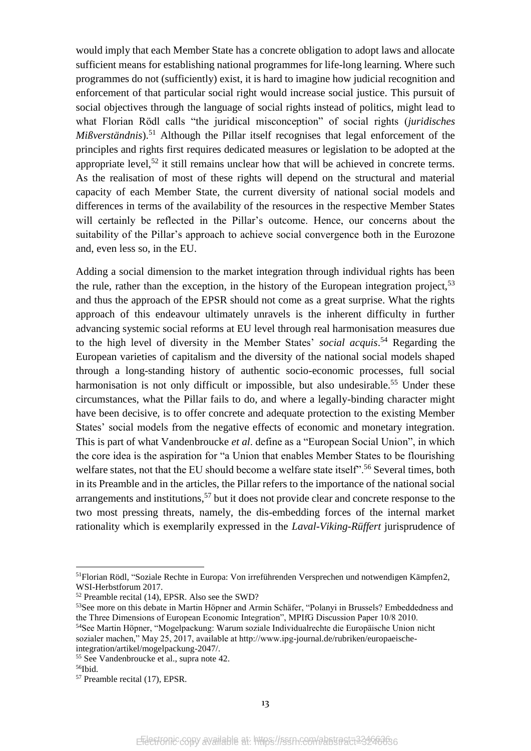would imply that each Member State has a concrete obligation to adopt laws and allocate sufficient means for establishing national programmes for life-long learning. Where such programmes do not (sufficiently) exist, it is hard to imagine how judicial recognition and enforcement of that particular social right would increase social justice. This pursuit of social objectives through the language of social rights instead of politics, might lead to what Florian Rödl calls "the juridical misconception" of social rights (*juridisches Mißverständnis*).<sup>51</sup> Although the Pillar itself recognises that legal enforcement of the principles and rights first requires dedicated measures or legislation to be adopted at the appropriate level,<sup>52</sup> it still remains unclear how that will be achieved in concrete terms. As the realisation of most of these rights will depend on the structural and material capacity of each Member State, the current diversity of national social models and differences in terms of the availability of the resources in the respective Member States will certainly be reflected in the Pillar's outcome. Hence, our concerns about the suitability of the Pillar's approach to achieve social convergence both in the Eurozone and, even less so, in the EU.

Adding a social dimension to the market integration through individual rights has been the rule, rather than the exception, in the history of the European integration project,  $53$ and thus the approach of the EPSR should not come as a great surprise. What the rights approach of this endeavour ultimately unravels is the inherent difficulty in further advancing systemic social reforms at EU level through real harmonisation measures due to the high level of diversity in the Member States' *social acquis*. <sup>54</sup> Regarding the European varieties of capitalism and the diversity of the national social models shaped through a long-standing history of authentic socio-economic processes, full social harmonisation is not only difficult or impossible, but also undesirable.<sup>55</sup> Under these circumstances, what the Pillar fails to do, and where a legally-binding character might have been decisive, is to offer concrete and adequate protection to the existing Member States' social models from the negative effects of economic and monetary integration. This is part of what Vandenbroucke *et al*. define as a "European Social Union", in which the core idea is the aspiration for "a Union that enables Member States to be flourishing welfare states, not that the EU should become a welfare state itself".<sup>56</sup> Several times, both in its Preamble and in the articles, the Pillar refers to the importance of the national social arrangements and institutions,  $57$  but it does not provide clear and concrete response to the two most pressing threats, namely, the dis-embedding forces of the internal market rationality which is exemplarily expressed in the *Laval-Viking-Rüffert* jurisprudence of

1

<sup>51</sup>Florian Rödl, "Soziale Rechte in Europa: Von irreführenden Versprechen und notwendigen Kämpfen2, WSI-Herbstforum 2017.

<sup>52</sup> Preamble recital (14), EPSR. Also see the SWD?

<sup>53</sup>See more on this debate in Martin Höpner and Armin Schäfer, "Polanyi in Brussels? Embeddedness and the Three Dimensions of European Economic Integration", MPIfG Discussion Paper 10/8 2010.

<sup>54</sup>See Martin Höpner, "Mogelpackung: Warum soziale Individualrechte die Europäische Union nicht sozialer machen," May 25, 2017, available at http://www.ipg-journal.de/rubriken/europaeischeintegration/artikel/mogelpackung-2047/.

<sup>55</sup> See Vandenbroucke et al., supra note [42.](#page-12-0)

<sup>56</sup>Ibid.

<sup>57</sup> Preamble recital (17), EPSR.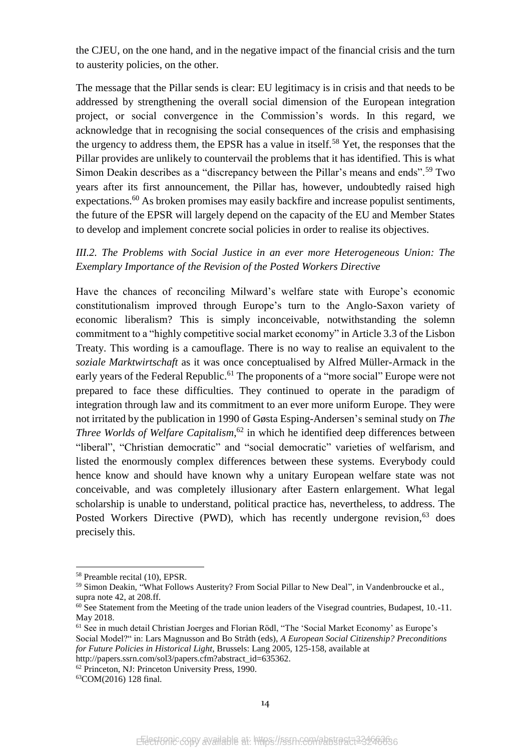the CJEU, on the one hand, and in the negative impact of the financial crisis and the turn to austerity policies, on the other.

The message that the Pillar sends is clear: EU legitimacy is in crisis and that needs to be addressed by strengthening the overall social dimension of the European integration project, or social convergence in the Commission's words. In this regard, we acknowledge that in recognising the social consequences of the crisis and emphasising the urgency to address them, the EPSR has a value in itself.<sup>58</sup> Yet, the responses that the Pillar provides are unlikely to countervail the problems that it has identified. This is what Simon Deakin describes as a "discrepancy between the Pillar's means and ends".<sup>59</sup> Two years after its first announcement, the Pillar has, however, undoubtedly raised high expectations.<sup>60</sup> As broken promises may easily backfire and increase populist sentiments, the future of the EPSR will largely depend on the capacity of the EU and Member States to develop and implement concrete social policies in order to realise its objectives.

# *III.2. The Problems with Social Justice in an ever more Heterogeneous Union: The Exemplary Importance of the Revision of the Posted Workers Directive*

Have the chances of reconciling Milward's welfare state with Europe's economic constitutionalism improved through Europe's turn to the Anglo-Saxon variety of economic liberalism? This is simply inconceivable, notwithstanding the solemn commitment to a "highly competitive social market economy" in Article 3.3 of the Lisbon Treaty. This wording is a camouflage. There is no way to realise an equivalent to the *soziale Marktwirtschaft* as it was once conceptualised by Alfred Müller-Armack in the early years of the Federal Republic.<sup>61</sup> The proponents of a "more social" Europe were not prepared to face these difficulties. They continued to operate in the paradigm of integration through law and its commitment to an ever more uniform Europe. They were not irritated by the publication in 1990 of Gøsta Esping-Andersen's seminal study on *The Three Worlds of Welfare Capitalism*, <sup>62</sup> in which he identified deep differences between "liberal", "Christian democratic" and "social democratic" varieties of welfarism, and listed the enormously complex differences between these systems. Everybody could hence know and should have known why a unitary European welfare state was not conceivable, and was completely illusionary after Eastern enlargement. What legal scholarship is unable to understand, political practice has, nevertheless, to address. The Posted Workers Directive (PWD), which has recently undergone revision,  $63$  does precisely this.

<span id="page-14-0"></span>1

<sup>58</sup> Preamble recital (10), EPSR.

<sup>&</sup>lt;sup>59</sup> Simon Deakin, "What Follows Austerity? From Social Pillar to New Deal", in Vandenbroucke et al., supra note 42, at 208.ff.

<sup>&</sup>lt;sup>60</sup> See Statement from the Meeting of the trade union leaders of the Visegrad countries, Budapest, 10.-11. May 2018.

<sup>61</sup> See in much detail Christian Joerges and Florian Rödl, "The 'Social Market Economy' as Europe's Social Model?" in: Lars Magnusson and Bo Stråth (eds), *A European Social Citizenship? Preconditions for Future Policies in Historical Light*, Brussels: Lang 2005, 125-158, available at

http://papers.ssrn.com/sol3/papers.cfm?abstract\_id=635362.

<sup>&</sup>lt;sup>62</sup> Princeton, NJ: Princeton University Press, 1990.

<sup>63</sup>COM(2016) 128 final.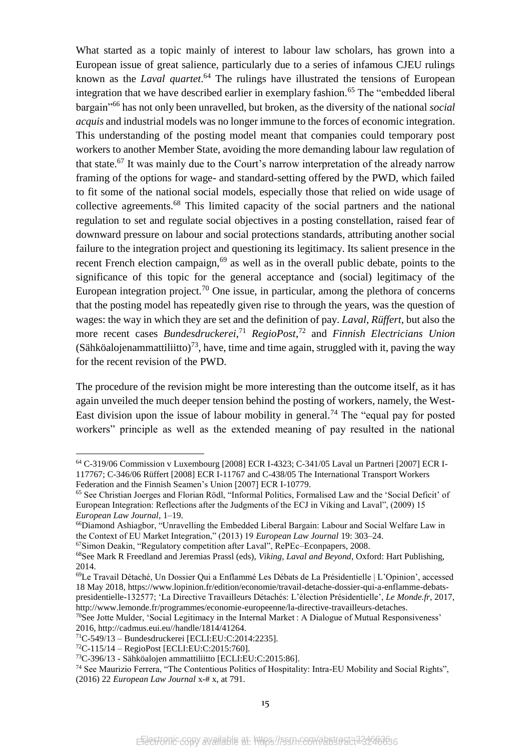What started as a topic mainly of interest to labour law scholars, has grown into a European issue of great salience, particularly due to a series of infamous CJEU rulings known as the *Laval quartet*. <sup>64</sup> The rulings have illustrated the tensions of European integration that we have described earlier in exemplary fashion.<sup>65</sup> The "embedded liberal bargain"<sup>66</sup> has not only been unravelled, but broken, as the diversity of the national *social acquis* and industrial models was no longer immune to the forces of economic integration. This understanding of the posting model meant that companies could temporary post workers to another Member State, avoiding the more demanding labour law regulation of that state.<sup>67</sup> It was mainly due to the Court's narrow interpretation of the already narrow framing of the options for wage- and standard-setting offered by the PWD, which failed to fit some of the national social models, especially those that relied on wide usage of collective agreements.<sup>68</sup> This limited capacity of the social partners and the national regulation to set and regulate social objectives in a posting constellation, raised fear of downward pressure on labour and social protections standards, attributing another social failure to the integration project and questioning its legitimacy. Its salient presence in the recent French election campaign, $69$  as well as in the overall public debate, points to the significance of this topic for the general acceptance and (social) legitimacy of the European integration project.<sup>70</sup> One issue, in particular, among the plethora of concerns that the posting model has repeatedly given rise to through the years, was the question of wages: the way in which they are set and the definition of pay. *Laval*, *Rüffert*, but also the more recent cases *Bundesdruckerei*, <sup>71</sup> *RegioPost*, <sup>72</sup> and *Finnish Electricians Union* (Sähköalojenammattiliitto)<sup>73</sup>, have, time and time again, struggled with it, paving the way for the recent revision of the PWD.

The procedure of the revision might be more interesting than the outcome itself, as it has again unveiled the much deeper tension behind the posting of workers, namely, the West-East division upon the issue of labour mobility in general.<sup>74</sup> The "equal pay for posted workers" principle as well as the extended meaning of pay resulted in the national

<sup>67</sup>Simon Deakin, "Regulatory competition after Laval", RePEc–Econpapers, 2008.

<sup>64</sup> C-319/06 Commission v Luxembourg [2008] ECR I-4323; C-341/05 Laval un Partneri [2007] ECR I-117767; C-346/06 Rüffert [2008] ECR I-11767 and C-438/05 The International Transport Workers Federation and the Finnish Seamen's Union [2007] ECR I-10779.

<sup>65</sup> See Christian Joerges and Florian Rödl, "Informal Politics, Formalised Law and the 'Social Deficit' of European Integration: Reflections after the Judgments of the ECJ in Viking and Laval", (2009) 15 *European Law Journal*, 1–19.

<sup>66</sup>Diamond Ashiagbor, "Unravelling the Embedded Liberal Bargain: Labour and Social Welfare Law in the Context of EU Market Integration," (2013) 19 *European Law Journal* 19: 303–24.

<sup>68</sup>See Mark R Freedland and Jeremias Prassl (eds), *Viking, Laval and Beyond*, Oxford: Hart Publishing, 2014.

<sup>69</sup>Le Travail Détaché, Un Dossier Qui a Enflammé Les Débats de La Présidentielle | L'Opinion', accessed 18 May 2018, https://www.lopinion.fr/edition/economie/travail-detache-dossier-qui-a-enflamme-debatspresidentielle-132577; 'La Directive Travailleurs Détachés: L'élection Présidentielle', *Le Monde.fr*, 2017, http://www.lemonde.fr/programmes/economie-europeenne/la-directive-travailleurs-detaches.

<sup>&</sup>lt;sup>70</sup>See Jotte Mulder, 'Social Legitimacy in the Internal Market : A Dialogue of Mutual Responsiveness' 2016, http://cadmus.eui.eu//handle/1814/41264.

<sup>71</sup>C-549/13 – Bundesdruckerei [ECLI:EU:C:2014:2235].

 $^{72}C-115/14 -$ RegioPost [ECLI:EU:C:2015:760].

<sup>73</sup>C-396/13 - Sähköalojen ammattiliitto [ECLI:EU:C:2015:86].

<sup>74</sup> See Maurizio Ferrera, "The Contentious Politics of Hospitality: Intra-EU Mobility and Social Rights", (2016) 22 *European Law Journal* x-# x, at 791.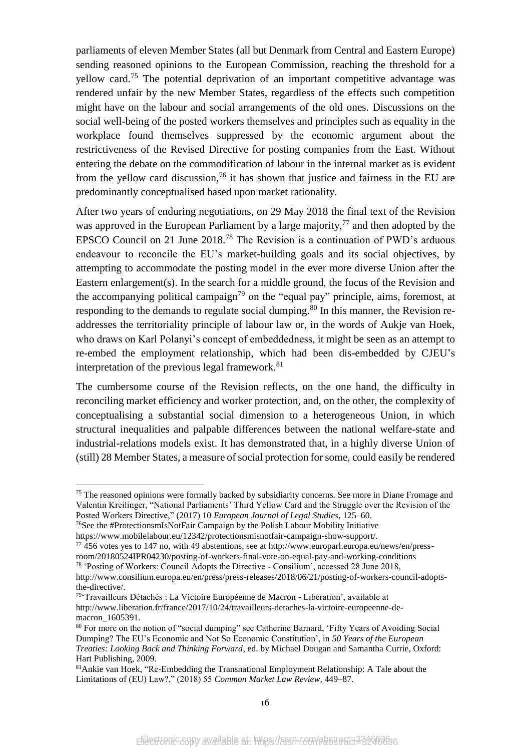parliaments of eleven Member States (all but Denmark from Central and Eastern Europe) sending reasoned opinions to the European Commission, reaching the threshold for a yellow card.<sup>75</sup> The potential deprivation of an important competitive advantage was rendered unfair by the new Member States, regardless of the effects such competition might have on the labour and social arrangements of the old ones. Discussions on the social well-being of the posted workers themselves and principles such as equality in the workplace found themselves suppressed by the economic argument about the restrictiveness of the Revised Directive for posting companies from the East. Without entering the debate on the commodification of labour in the internal market as is evident from the vellow card discussion.<sup>76</sup> it has shown that justice and fairness in the EU are predominantly conceptualised based upon market rationality.

After two years of enduring negotiations, on 29 May 2018 the final text of the Revision was approved in the European Parliament by a large majority,  $77$  and then adopted by the EPSCO Council on 21 June 2018.<sup>78</sup> The Revision is a continuation of PWD's arduous endeavour to reconcile the EU's market-building goals and its social objectives, by attempting to accommodate the posting model in the ever more diverse Union after the Eastern enlargement(s). In the search for a middle ground, the focus of the Revision and the accompanying political campaign<sup>79</sup> on the "equal pay" principle, aims, foremost, at responding to the demands to regulate social dumping.<sup>80</sup> In this manner, the Revision readdresses the territoriality principle of labour law or, in the words of Aukje van Hoek, who draws on Karl Polanyi's concept of embeddedness, it might be seen as an attempt to re-embed the employment relationship, which had been dis-embedded by CJEU's interpretation of the previous legal framework. $81$ 

The cumbersome course of the Revision reflects, on the one hand, the difficulty in reconciling market efficiency and worker protection, and, on the other, the complexity of conceptualising a substantial social dimension to a heterogeneous Union, in which structural inequalities and palpable differences between the national welfare-state and industrial-relations models exist. It has demonstrated that, in a highly diverse Union of (still) 28 Member States, a measure of social protection for some, could easily be rendered

<sup>&</sup>lt;sup>75</sup> The reasoned opinions were formally backed by subsidiarity concerns. See more in Diane Fromage and Valentin Kreilinger, "National Parliaments' Third Yellow Card and the Struggle over the Revision of the Posted Workers Directive," (2017) 10 *European Journal of Legal Studies*, 125–60.

<sup>&</sup>lt;sup>76</sup>See the #ProtectionsmIsNotFair Campaign by the Polish Labour Mobility Initiative https://www.mobilelabour.eu/12342/protectionsmisnotfair-campaign-show-support/.

<sup>77</sup> 456 votes yes to 147 no, with 49 abstentions, see at http://www.europarl.europa.eu/news/en/pressroom/20180524IPR04230/posting-of-workers-final-vote-on-equal-pay-and-working-conditions

<sup>78</sup> 'Posting of Workers: Council Adopts the Directive - Consilium', accessed 28 June 2018,

http://www.consilium.europa.eu/en/press/press-releases/2018/06/21/posting-of-workers-council-adoptsthe-directive/.

<sup>79</sup>'Travailleurs Détachés : La Victoire Européenne de Macron - Libération', available at http://www.liberation.fr/france/2017/10/24/travailleurs-detaches-la-victoire-europeenne-demacron 1605391.

<sup>80</sup> For more on the notion of "social dumping" see Catherine Barnard, 'Fifty Years of Avoiding Social Dumping? The EU's Economic and Not So Economic Constitution', in *50 Years of the European Treaties: Looking Back and Thinking Forward*, ed. by Michael Dougan and Samantha Currie, Oxford: Hart Publishing, 2009.

<sup>81</sup>Ankie van Hoek, "Re-Embedding the Transnational Employment Relationship: A Tale about the Limitations of (EU) Law?," (2018) 55 *Common Market Law Review*, 449–87.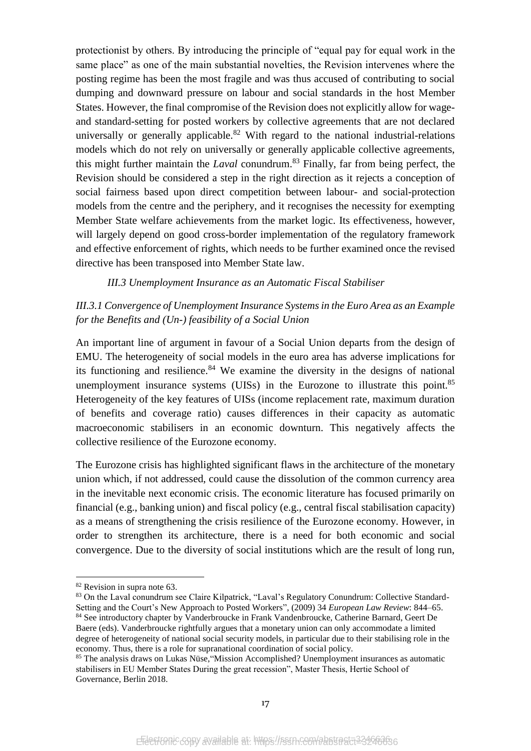protectionist by others. By introducing the principle of "equal pay for equal work in the same place" as one of the main substantial novelties, the Revision intervenes where the posting regime has been the most fragile and was thus accused of contributing to social dumping and downward pressure on labour and social standards in the host Member States. However, the final compromise of the Revision does not explicitly allow for wageand standard-setting for posted workers by collective agreements that are not declared universally or generally applicable.<sup>82</sup> With regard to the national industrial-relations models which do not rely on universally or generally applicable collective agreements, this might further maintain the *Laval* conundrum.<sup>83</sup> Finally, far from being perfect, the Revision should be considered a step in the right direction as it rejects a conception of social fairness based upon direct competition between labour- and social-protection models from the centre and the periphery, and it recognises the necessity for exempting Member State welfare achievements from the market logic. Its effectiveness, however, will largely depend on good cross-border implementation of the regulatory framework and effective enforcement of rights, which needs to be further examined once the revised directive has been transposed into Member State law.

#### *III.3 Unemployment Insurance as an Automatic Fiscal Stabiliser*

# *III.3.1 Convergence of Unemployment Insurance Systems in the Euro Area as an Example for the Benefits and (Un-) feasibility of a Social Union*

An important line of argument in favour of a Social Union departs from the design of EMU. The heterogeneity of social models in the euro area has adverse implications for its functioning and resilience.<sup>84</sup> We examine the diversity in the designs of national unemployment insurance systems (UISs) in the Eurozone to illustrate this point. $85$ Heterogeneity of the key features of UISs (income replacement rate, maximum duration of benefits and coverage ratio) causes differences in their capacity as automatic macroeconomic stabilisers in an economic downturn. This negatively affects the collective resilience of the Eurozone economy.

The Eurozone crisis has highlighted significant flaws in the architecture of the monetary union which, if not addressed, could cause the dissolution of the common currency area in the inevitable next economic crisis. The economic literature has focused primarily on financial (e.g., banking union) and fiscal policy (e.g., central fiscal stabilisation capacity) as a means of strengthening the crisis resilience of the Eurozone economy. However, in order to strengthen its architecture, there is a need for both economic and social convergence. Due to the diversity of social institutions which are the result of long run,

<sup>&</sup>lt;sup>82</sup> Revision in supra note [63.](#page-14-0)

<sup>83</sup> On the Laval conundrum see Claire Kilpatrick, "Laval's Regulatory Conundrum: Collective Standard-Setting and the Court's New Approach to Posted Workers", (2009) 34 *European Law Review*: 844–65. <sup>84</sup> See introductory chapter by Vanderbroucke in Frank Vandenbroucke, Catherine Barnard, Geert De Baere (eds). Vanderbroucke rightfully argues that a monetary union can only accommodate a limited degree of heterogeneity of national social security models, in particular due to their stabilising role in the

economy. Thus, there is a role for supranational coordination of social policy.

<sup>85</sup> The analysis draws on Lukas Nüse,"Mission Accomplished? Unemployment insurances as automatic stabilisers in EU Member States During the great recession", Master Thesis, Hertie School of Governance, Berlin 2018.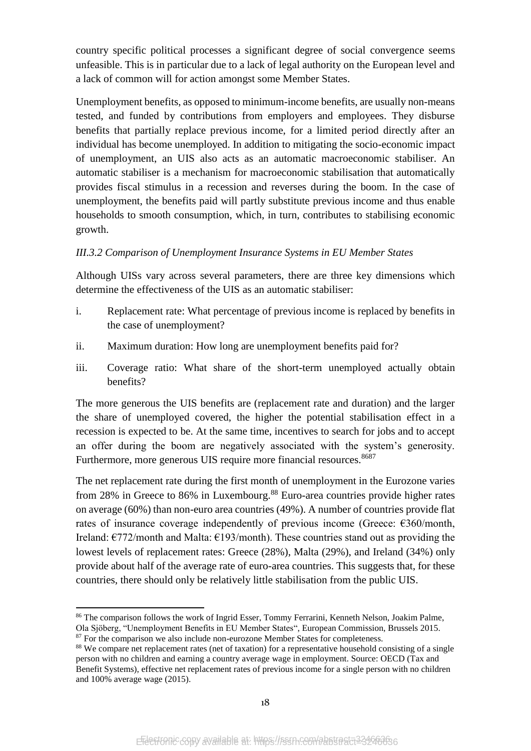country specific political processes a significant degree of social convergence seems unfeasible. This is in particular due to a lack of legal authority on the European level and a lack of common will for action amongst some Member States.

Unemployment benefits, as opposed to minimum-income benefits, are usually non-means tested, and funded by contributions from employers and employees. They disburse benefits that partially replace previous income, for a limited period directly after an individual has become unemployed. In addition to mitigating the socio-economic impact of unemployment, an UIS also acts as an automatic macroeconomic stabiliser. An automatic stabiliser is a mechanism for macroeconomic stabilisation that automatically provides fiscal stimulus in a recession and reverses during the boom. In the case of unemployment, the benefits paid will partly substitute previous income and thus enable households to smooth consumption, which, in turn, contributes to stabilising economic growth.

## *III.3.2 Comparison of Unemployment Insurance Systems in EU Member States*

Although UISs vary across several parameters, there are three key dimensions which determine the effectiveness of the UIS as an automatic stabiliser:

- i. Replacement rate: What percentage of previous income is replaced by benefits in the case of unemployment?
- ii. Maximum duration: How long are unemployment benefits paid for?
- iii. Coverage ratio: What share of the short-term unemployed actually obtain benefits?

The more generous the UIS benefits are (replacement rate and duration) and the larger the share of unemployed covered, the higher the potential stabilisation effect in a recession is expected to be. At the same time, incentives to search for jobs and to accept an offer during the boom are negatively associated with the system's generosity. Furthermore, more generous UIS require more financial resources.<sup>8687</sup>

The net replacement rate during the first month of unemployment in the Eurozone varies from 28% in Greece to 86% in Luxembourg.<sup>88</sup> Euro-area countries provide higher rates on average (60%) than non-euro area countries (49%). A number of countries provide flat rates of insurance coverage independently of previous income (Greece:  $\epsilon$ 360/month, Ireland: €772/month and Malta: €193/month). These countries stand out as providing the lowest levels of replacement rates: Greece (28%), Malta (29%), and Ireland (34%) only provide about half of the average rate of euro-area countries. This suggests that, for these countries, there should only be relatively little stabilisation from the public UIS.

**<sup>.</sup>** <sup>86</sup> The comparison follows the work of Ingrid Esser, Tommy Ferrarini, Kenneth Nelson, Joakim Palme,

Ola Sjöberg, "Unemployment Benefits in EU Member States", European Commission, Brussels 2015.

<sup>&</sup>lt;sup>87</sup> For the comparison we also include non-eurozone Member States for completeness.

<sup>&</sup>lt;sup>88</sup> We compare net replacement rates (net of taxation) for a representative household consisting of a single person with no children and earning a country average wage in employment. Source: OECD (Tax and Benefit Systems), effective net replacement rates of previous income for a single person with no children and 100% average wage (2015).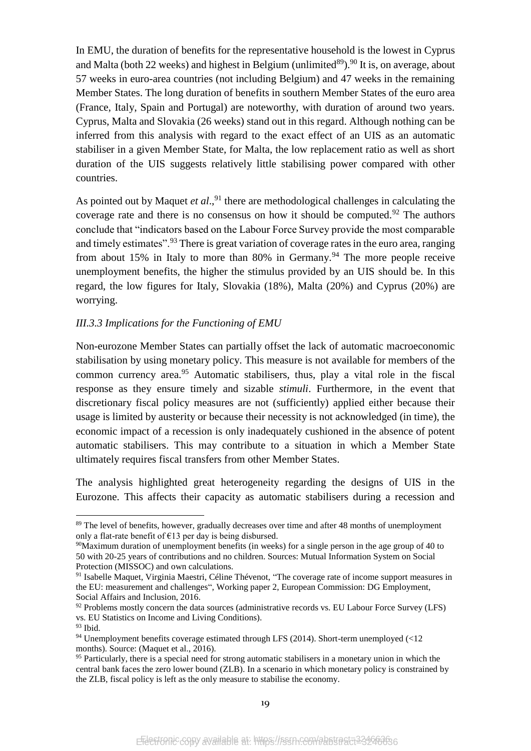In EMU, the duration of benefits for the representative household is the lowest in Cyprus and Malta (both 22 weeks) and highest in Belgium (unlimited<sup>89</sup>).<sup>90</sup> It is, on average, about 57 weeks in euro-area countries (not including Belgium) and 47 weeks in the remaining Member States. The long duration of benefits in southern Member States of the euro area (France, Italy, Spain and Portugal) are noteworthy, with duration of around two years. Cyprus, Malta and Slovakia (26 weeks) stand out in this regard. Although nothing can be inferred from this analysis with regard to the exact effect of an UIS as an automatic stabiliser in a given Member State, for Malta, the low replacement ratio as well as short duration of the UIS suggests relatively little stabilising power compared with other countries.

As pointed out by Maquet *et al.*,<sup>91</sup> there are methodological challenges in calculating the coverage rate and there is no consensus on how it should be computed.<sup>92</sup> The authors conclude that "indicators based on the Labour Force Survey provide the most comparable and timely estimates".<sup>93</sup> There is great variation of coverage rates in the euro area, ranging from about 15% in Italy to more than 80% in Germany.<sup>94</sup> The more people receive unemployment benefits, the higher the stimulus provided by an UIS should be. In this regard, the low figures for Italy, Slovakia (18%), Malta (20%) and Cyprus (20%) are worrying.

## *III.3.3 Implications for the Functioning of EMU*

Non-eurozone Member States can partially offset the lack of automatic macroeconomic stabilisation by using monetary policy. This measure is not available for members of the common currency area. $95$  Automatic stabilisers, thus, play a vital role in the fiscal response as they ensure timely and sizable *stimuli*. Furthermore, in the event that discretionary fiscal policy measures are not (sufficiently) applied either because their usage is limited by austerity or because their necessity is not acknowledged (in time), the economic impact of a recession is only inadequately cushioned in the absence of potent automatic stabilisers. This may contribute to a situation in which a Member State ultimately requires fiscal transfers from other Member States.

The analysis highlighted great heterogeneity regarding the designs of UIS in the Eurozone. This affects their capacity as automatic stabilisers during a recession and

<sup>&</sup>lt;sup>89</sup> The level of benefits, however, gradually decreases over time and after 48 months of unemployment only a flat-rate benefit of  $E13$  per day is being disbursed.

<sup>90</sup>Maximum duration of unemployment benefits (in weeks) for a single person in the age group of 40 to 50 with 20-25 years of contributions and no children. Sources: Mutual Information System on Social Protection (MISSOC) and own calculations.

<sup>&</sup>lt;sup>91</sup> Isabelle Maquet, Virginia Maestri, Céline Thévenot, "The coverage rate of income support measures in the EU: measurement and challenges", Working paper 2, European Commission: DG Employment, Social Affairs and Inclusion, 2016.

 $92$  Problems mostly concern the data sources (administrative records vs. EU Labour Force Survey (LFS) vs. EU Statistics on Income and Living Conditions).

<sup>93</sup> Ibid.

<sup>&</sup>lt;sup>94</sup> Unemployment benefits coverage estimated through LFS (2014). Short-term unemployed  $\ll 12$ months). Source: (Maquet et al., 2016).

<sup>&</sup>lt;sup>95</sup> Particularly, there is a special need for strong automatic stabilisers in a monetary union in which the central bank faces the zero lower bound (ZLB). In a scenario in which monetary policy is constrained by the ZLB, fiscal policy is left as the only measure to stabilise the economy.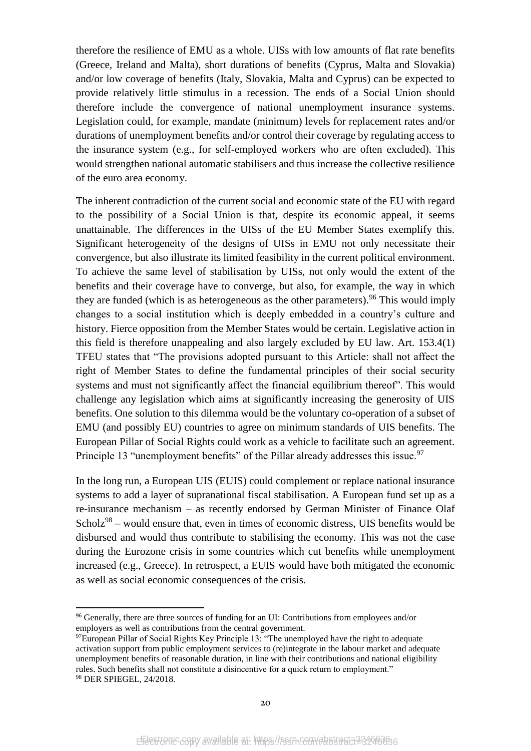therefore the resilience of EMU as a whole. UISs with low amounts of flat rate benefits (Greece, Ireland and Malta), short durations of benefits (Cyprus, Malta and Slovakia) and/or low coverage of benefits (Italy, Slovakia, Malta and Cyprus) can be expected to provide relatively little stimulus in a recession. The ends of a Social Union should therefore include the convergence of national unemployment insurance systems. Legislation could, for example, mandate (minimum) levels for replacement rates and/or durations of unemployment benefits and/or control their coverage by regulating access to the insurance system (e.g., for self-employed workers who are often excluded). This would strengthen national automatic stabilisers and thus increase the collective resilience of the euro area economy.

The inherent contradiction of the current social and economic state of the EU with regard to the possibility of a Social Union is that, despite its economic appeal, it seems unattainable. The differences in the UISs of the EU Member States exemplify this. Significant heterogeneity of the designs of UISs in EMU not only necessitate their convergence, but also illustrate its limited feasibility in the current political environment. To achieve the same level of stabilisation by UISs, not only would the extent of the benefits and their coverage have to converge, but also, for example, the way in which they are funded (which is as heterogeneous as the other parameters). <sup>96</sup> This would imply changes to a social institution which is deeply embedded in a country's culture and history. Fierce opposition from the Member States would be certain. Legislative action in this field is therefore unappealing and also largely excluded by EU law. Art. 153.4(1) TFEU states that "The provisions adopted pursuant to this Article: shall not affect the right of Member States to define the fundamental principles of their social security systems and must not significantly affect the financial equilibrium thereof". This would challenge any legislation which aims at significantly increasing the generosity of UIS benefits. One solution to this dilemma would be the voluntary co-operation of a subset of EMU (and possibly EU) countries to agree on minimum standards of UIS benefits. The European Pillar of Social Rights could work as a vehicle to facilitate such an agreement. Principle 13 "unemployment benefits" of the Pillar already addresses this issue.<sup>97</sup>

In the long run, a European UIS (EUIS) could complement or replace national insurance systems to add a layer of supranational fiscal stabilisation. A European fund set up as a re-insurance mechanism – as recently endorsed by German Minister of Finance Olaf Scholz $98 -$  would ensure that, even in times of economic distress, UIS benefits would be disbursed and would thus contribute to stabilising the economy. This was not the case during the Eurozone crisis in some countries which cut benefits while unemployment increased (e.g., Greece). In retrospect, a EUIS would have both mitigated the economic as well as social economic consequences of the crisis.

<sup>&</sup>lt;sup>96</sup> Generally, there are three sources of funding for an UI: Contributions from employees and/or employers as well as contributions from the central government.

<sup>97</sup>European Pillar of Social Rights Key Principle 13: "The unemployed have the right to adequate activation support from public employment services to (re)integrate in the labour market and adequate unemployment benefits of reasonable duration, in line with their contributions and national eligibility rules. Such benefits shall not constitute a disincentive for a quick return to employment." <sup>98</sup> DER SPIEGEL, 24/2018.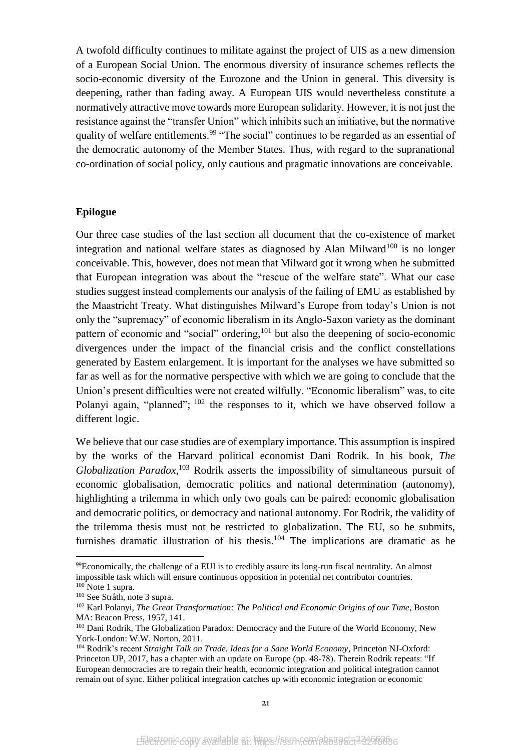A twofold difficulty continues to militate against the project of UIS as a new dimension of a European Social Union. The enormous diversity of insurance schemes reflects the socio-economic diversity of the Eurozone and the Union in general. This diversity is deepening, rather than fading away. A European UIS would nevertheless constitute a normatively attractive move towards more European solidarity. However, it is not just the resistance against the "transfer Union" which inhibits such an initiative, but the normative quality of welfare entitlements.<sup>99</sup> "The social" continues to be regarded as an essential of the democratic autonomy of the Member States. Thus, with regard to the supranational co-ordination of social policy, only cautious and pragmatic innovations are conceivable.

#### **Epilogue**

Our three case studies of the last section all document that the co-existence of market integration and national welfare states as diagnosed by Alan Milward<sup>100</sup> is no longer conceivable. This, however, does not mean that Milward got it wrong when he submitted that European integration was about the "rescue of the welfare state". What our case studies suggest instead complements our analysis of the failing of EMU as established by the Maastricht Treaty. What distinguishes Milward's Europe from today's Union is not only the "supremacy" of economic liberalism in its Anglo-Saxon variety as the dominant pattern of economic and "social" ordering, <sup>101</sup> but also the deepening of socio-economic divergences under the impact of the financial crisis and the conflict constellations generated by Eastern enlargement. It is important for the analyses we have submitted so far as well as for the normative perspective with which we are going to conclude that the Union's present difficulties were not created wilfully. "Economic liberalism" was, to cite Polanyi again, "planned";  $102$  the responses to it, which we have observed follow a different logic.

We believe that our case studies are of exemplary importance. This assumption is inspired by the works of the Harvard political economist Dani Rodrik. In his book, *The Globalization Paradox*, <sup>103</sup> Rodrik asserts the impossibility of simultaneous pursuit of economic globalisation, democratic politics and national determination (autonomy), highlighting a trilemma in which only two goals can be paired: economic globalisation and democratic politics, or democracy and national autonomy. For Rodrik, the validity of the trilemma thesis must not be restricted to globalization. The EU, so he submits, furnishes dramatic illustration of his thesis.<sup>104</sup> The implications are dramatic as he

 $\overline{a}$ 

<sup>99</sup>Economically, the challenge of a EUI is to credibly assure its long-run fiscal neutrality. An almost impossible task which will ensure continuous opposition in potential net contributor countries.  $100$  Note [1](#page-1-0) supra.

<sup>101</sup> See Stråth, note [3](#page-1-1) supra.

<sup>102</sup> Karl Polanyi, *The Great Transformation: The Political and Economic Origins of our Time*, Boston MA: Beacon Press, 1957, 141.

<sup>&</sup>lt;sup>103</sup> Dani Rodrik, The Globalization Paradox: Democracy and the Future of the World Economy, New York-London: W.W. Norton, 2011.

<sup>104</sup> Rodrik's recent *Straight Talk on Trade. Ideas for a Sane World Economy*, Princeton NJ-Oxford: Princeton UP, 2017, has a chapter with an update on Europe (pp. 48-78). Therein Rodrik repeats: "If European democracies are to regain their health, economic integration and political integration cannot remain out of sync. Either political integration catches up with economic integration or economic